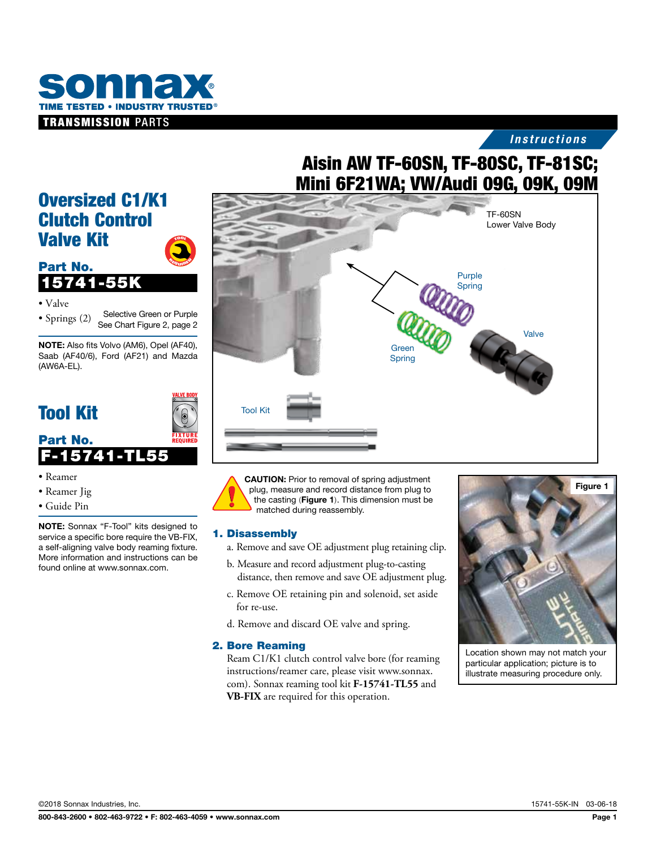

## *Instructions*

# Aisin AW TF-60SN, TF-80SC, TF-81SC; Mini 6F21WA; VW/Audi 09G, 09K, 09M



CAUTION: Prior to removal of spring adjustment plug, measure and record distance from plug to the casting (Figure 1). This dimension must be matched during reassembly.

#### 1. Disassembly

- a. Remove and save OE adjustment plug retaining clip.
- b. Measure and record adjustment plug-to-casting distance, then remove and save OE adjustment plug.
- c. Remove OE retaining pin and solenoid, set aside for re-use.
- d. Remove and discard OE valve and spring.

#### 2. Bore Reaming

Ream C1/K1 clutch control valve bore (for reaming instructions/reamer care, please visit www.sonnax. com). Sonnax reaming tool kit **F-15741-TL55** and **VB-FIX** are required for this operation.



Location shown may not match your particular application; picture is to illustrate measuring procedure only.

## Oversized C1/K1 Clutch Control Valve Kit  $\boldsymbol{\tau}$ oo $\boldsymbol{\imath}$



• Valve

• Springs (2) Selective Green or Purple See Chart Figure 2, page 2

<sup>R</sup>EQUIRE<sup>D</sup>

NOTE: Also fits Volvo (AM6), Opel (AF40), Saab (AF40/6), Ford (AF21) and Mazda (AW6A-EL).

## Tool Kit

Part No.



#### • Reamer

- Reamer Jig
- Guide Pin

NOTE: Sonnax "F-Tool" kits designed to service a specific bore require the VB-FIX, a self-aligning valve body reaming fixture. More information and instructions can be found online at www.sonnax.com.